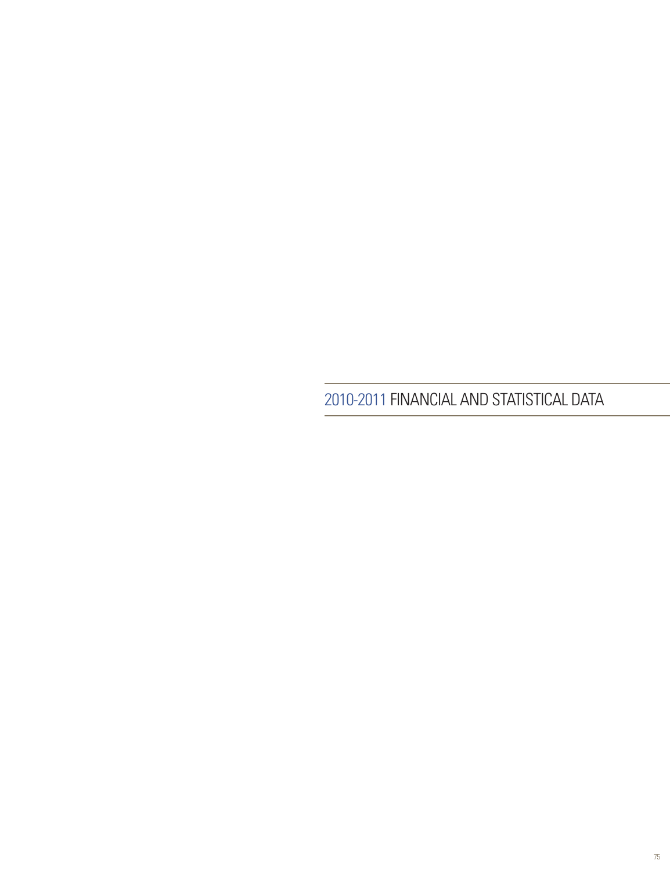2010-2011 Financial AND STATISTICAL Data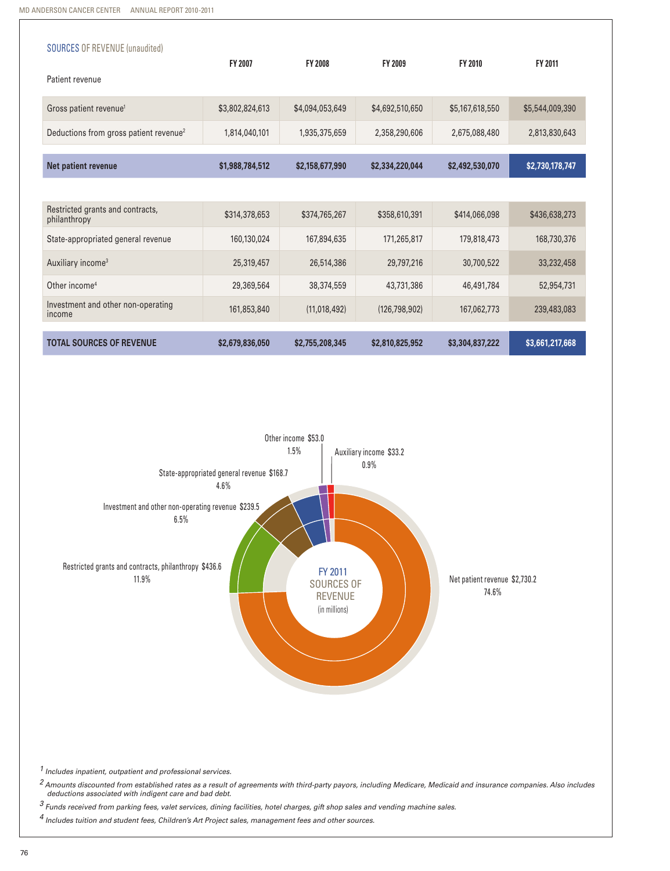| <b>SOURCES OF REVENUE (unaudited)</b>              |                 |                 |                 |                 |                 |
|----------------------------------------------------|-----------------|-----------------|-----------------|-----------------|-----------------|
| Patient revenue                                    | <b>FY 2007</b>  | <b>FY 2008</b>  | <b>FY 2009</b>  | <b>FY 2010</b>  | FY 2011         |
| Gross patient revenue <sup>1</sup>                 | \$3,802,824,613 | \$4,094,053,649 | \$4,692,510,650 | \$5,167,618,550 | \$5,544,009,390 |
| Deductions from gross patient revenue <sup>2</sup> | 1,814,040,101   | 1,935,375,659   | 2,358,290,606   | 2,675,088,480   | 2,813,830,643   |
| Net patient revenue                                | \$1,988,784,512 | \$2,158,677,990 | \$2,334,220,044 | \$2,492,530,070 | \$2,730,178,747 |
|                                                    |                 |                 |                 |                 |                 |
| Restricted grants and contracts,<br>philanthropy   | \$314,378,653   | \$374,765,267   | \$358,610,391   | \$414,066,098   | \$436,638,273   |
| State-appropriated general revenue                 | 160,130,024     | 167,894,635     | 171,265,817     | 179,818,473     | 168,730,376     |
| Auxiliary income <sup>3</sup>                      | 25,319,457      | 26,514,386      | 29,797,216      | 30,700,522      | 33,232,458      |
| Other income <sup>4</sup>                          | 29,369,564      | 38,374,559      | 43,731,386      | 46,491,784      | 52,954,731      |
| Investment and other non-operating<br>income       | 161,853,840     | (11,018,492)    | (126, 798, 902) | 167,062,773     | 239,483,083     |
| <b>TOTAL SOURCES OF REVENUE</b>                    | \$2,679,836,050 | \$2,755,208,345 | \$2,810,825,952 | \$3,304,837,222 | \$3,661,217,668 |



 *1 Includes inpatient, outpatient and professional services.* 

*2 Amounts discounted from established rates as a result of agreements with third-party payors, including Medicare, Medicaid and insurance companies. Also includes deductions associated with indigent care and bad debt.* 

*3 Funds received from parking fees, valet services, dining facilities, hotel charges, gift shop sales and vending machine sales.* 

*4 Includes tuition and student fees, Children's Art Project sales, management fees and other sources.*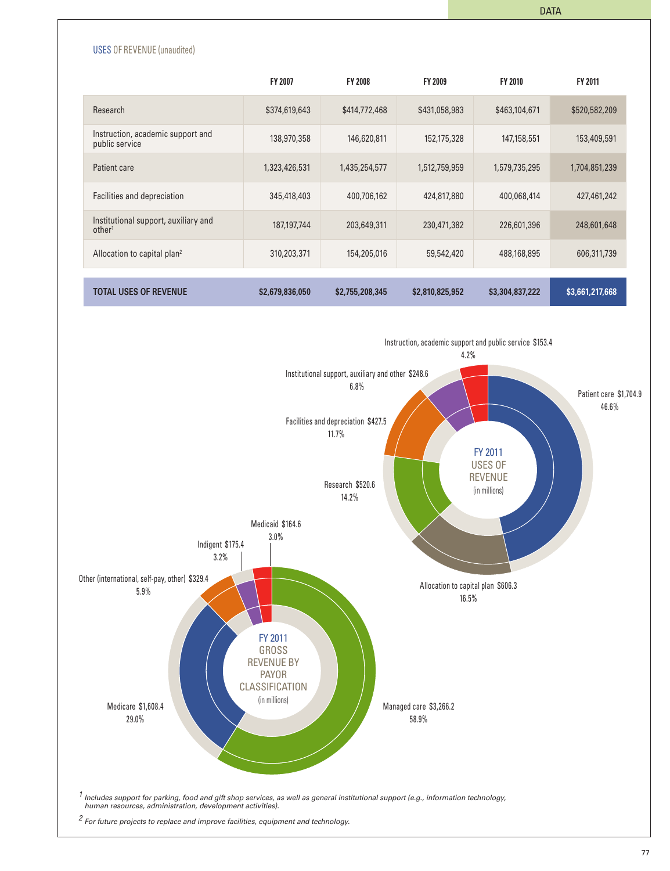

|                                                            | <b>FY 2007</b>  | <b>FY 2008</b>  | <b>FY 2009</b>  | <b>FY 2010</b>  | <b>FY 2011</b>  |
|------------------------------------------------------------|-----------------|-----------------|-----------------|-----------------|-----------------|
| Research                                                   | \$374,619,643   | \$414,772,468   | \$431,058,983   | \$463,104,671   | \$520,582,209   |
| Instruction, academic support and<br>public service        | 138,970,358     | 146,620,811     | 152,175,328     | 147,158,551     | 153,409,591     |
| Patient care                                               | 1,323,426,531   | 1,435,254,577   | 1,512,759,959   | 1,579,735,295   | 1,704,851,239   |
| Facilities and depreciation                                | 345,418,403     | 400,706,162     | 424,817,880     | 400,068,414     | 427,461,242     |
| Institutional support, auxiliary and<br>other <sup>1</sup> | 187,197,744     | 203,649,311     | 230,471,382     | 226,601,396     | 248,601,648     |
| Allocation to capital plan <sup>2</sup>                    | 310,203,371     | 154,205,016     | 59,542,420      | 488,168,895     | 606,311,739     |
|                                                            |                 |                 |                 |                 |                 |
| <b>TOTAL USES OF REVENUE</b>                               | \$2,679,836,050 | \$2,755,208,345 | \$2,810,825,952 | \$3,304,837,222 | \$3,661,217,668 |

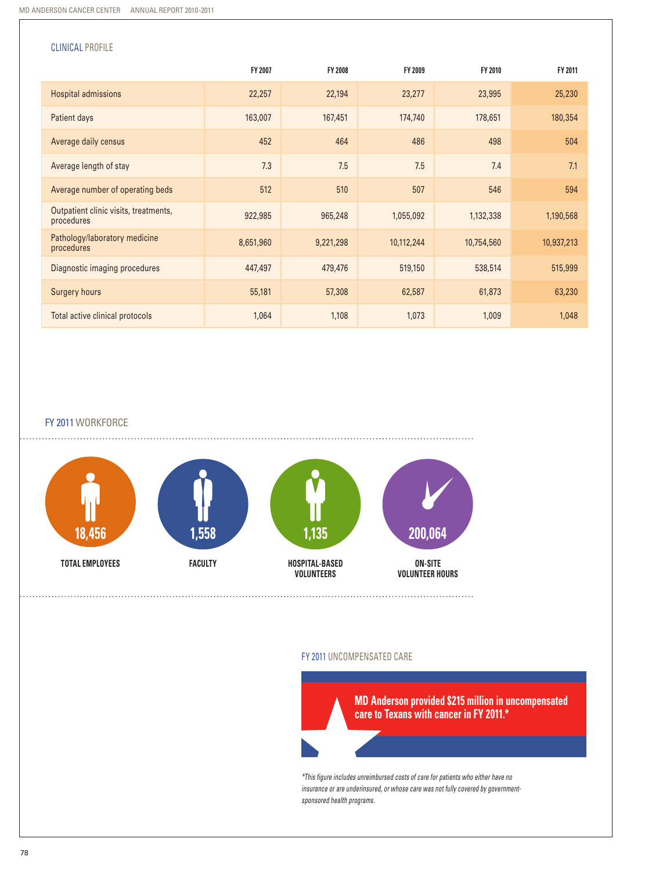| <b>CLINICAL PROFILE</b>                             |           |           |            |            |            |
|-----------------------------------------------------|-----------|-----------|------------|------------|------------|
|                                                     | FY 2007   | FY 2008   | FY 2009    | FY 2010    | FY 2011    |
| Hospital admissions                                 | 22,257    | 22,194    | 23,277     | 23,995     | 25,230     |
| Patient days                                        | 163,007   | 167,451   | 174,740    | 178,651    | 180,354    |
| Average daily census                                | 452       | 464       | 486        | 498        | 504        |
| Average length of stay                              | 7.3       | 7.5       | 7.5        | 7.4        | 7.1        |
| Average number of operating beds                    | 512       | 510       | 507        | 546        | 594        |
| Outpatient clinic visits, treatments,<br>procedures | 922,985   | 965,248   | 1,055,092  | 1,132,338  | 1,190,568  |
| Pathology/laboratory medicine<br>procedures         | 8,651,960 | 9,221,298 | 10,112,244 | 10,754,560 | 10,937,213 |
| Diagnostic imaging procedures                       | 447,497   | 479,476   | 519,150    | 538,514    | 515,999    |
| <b>Surgery hours</b>                                | 55,181    | 57,308    | 62,587     | 61,873     | 63,230     |
| Total active clinical protocols                     | 1,064     | 1,108     | 1,073      | 1,009      | 1,048      |

FY 2011WORKFORCE



#### FY 2011 Uncompensated Care



*\*This figure includes unreimbursed costs of care for patients who either have no insurance or are underinsured, or whose care was not fully covered by governmentsponsored health programs.*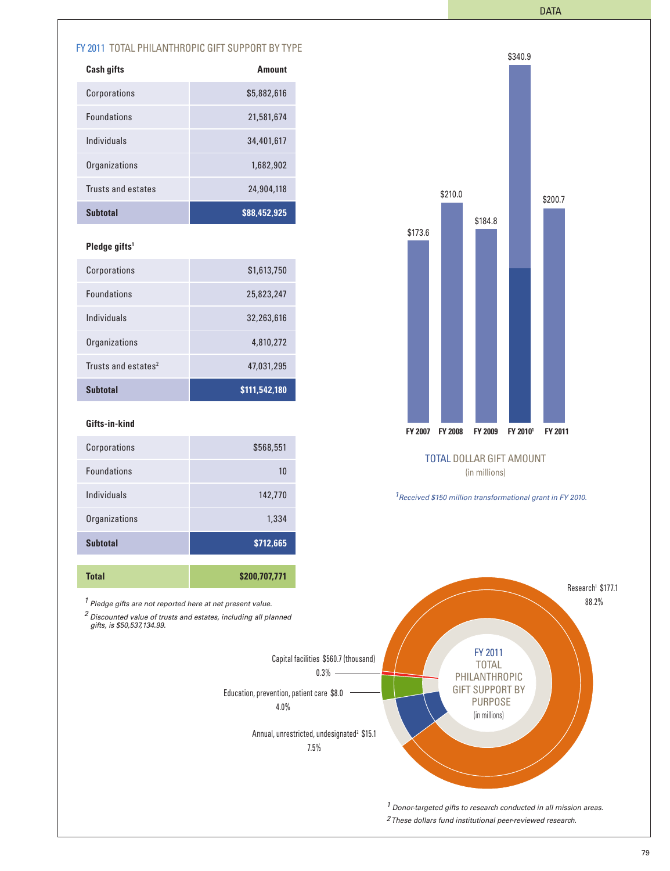\$340.9

# FY 2011 TOTAL PHILANTHROPIC GIFT SUPPORT BY TYPE

| <b>Cash gifts</b>  | <b>Amount</b> |
|--------------------|---------------|
| Corporations       | \$5,882,616   |
| <b>Foundations</b> | 21,581,674    |
| Individuals        | 34,401,617    |
| Organizations      | 1,682,902     |
| Trusts and estates | 24,904,118    |
| <b>Subtotal</b>    | \$88,452,925  |

### **Pledge gifts1**

| Corporations                    | \$1,613,750   |
|---------------------------------|---------------|
| <b>Foundations</b>              | 25,823,247    |
| Individuals                     | 32,263,616    |
| Organizations                   | 4,810,272     |
| Trusts and estates <sup>2</sup> | 47,031,295    |
| <b>Subtotal</b>                 | \$111,542,180 |

#### **Gifts-in-kind**

| Corporations       | \$568,551     |
|--------------------|---------------|
| <b>Foundations</b> | 10            |
| Individuals        | 142,770       |
| Organizations      | 1,334         |
| <b>Subtotal</b>    | \$712,665     |
|                    |               |
| <b>Total</b>       | \$200,707,771 |



### TOTAL DOLLAR GIFT AMOUNT (in millions)

*1Received \$150 million transformational grant in FY 2010.*

*1 Pledge gifts are not reported here at net present value.*

*2 Discounted value of trusts and estates, including all planned gifts, is \$50,537,134.99.*



79

Research<sup>1</sup> \$177.1 88.2%